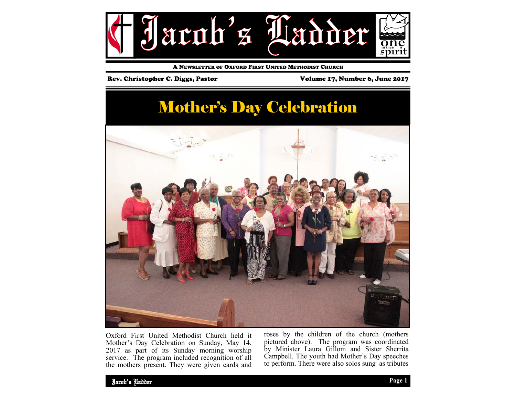

A NEWSLETTER OF OXFORD FIRST UNITED METHODIST CHURCH

### Rev. Christopher C. Diggs, Pastor Volume 17, Number 6, June 2017

## Mother's Day Celebration



Oxford First United Methodist Church held it Mother's Day Celebration on Sunday, May 14, 2017 as part of its Sunday morning worship service. The program included recognition of all the mothers present. They were given cards and roses by the children of the church (mothers pictured above). The program was coordinated by Minister Laura Gillom and Sister Sherrita Campbell. The youth had Mother's Day speeches to perform. There were also solos sung as tributes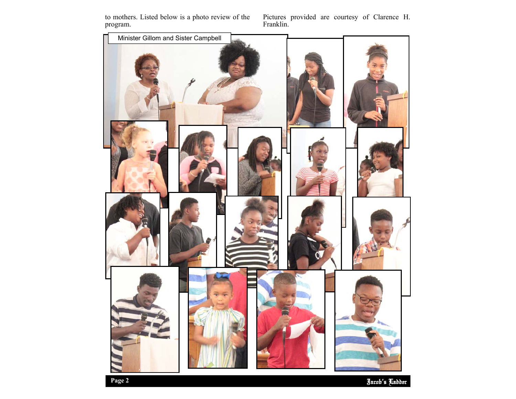to mothers. Listed below is a photo review of the program.

Pictures provided are courtesy of Clarence H. Franklin.

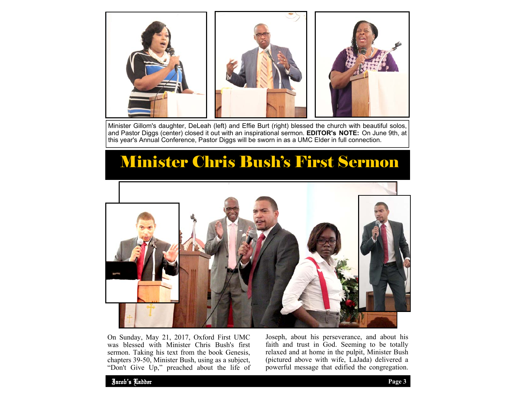

Minister Gillom's daughter, DeLeah (left) and Effie Burt (right) blessed the church with beautiful solos, and Pastor Diggs (center) closed it out with an inspirational sermon. **EDITOR's NOTE:** On June 9th, at this year's Annual Conference, Pastor Diggs will be sworn in as a UMC Elder in full connection.

## Minister Chris Bush's First Sermon



On Sunday, May 21, 2017, Oxford First UMC was blessed with Minister Chris Bush's first sermon. Taking his text from the book Genesis, chapters 39-50, Minister Bush, using as a subject, "Don't Give Up," preached about the life of Joseph, about his perseverance, and about his faith and trust in God. Seeming to be totally relaxed and at home in the pulpit, Minister Bush (pictured above with wife, LaJada) delivered a powerful message that edified the congregation.

Jacob's Ladder **Page 3**